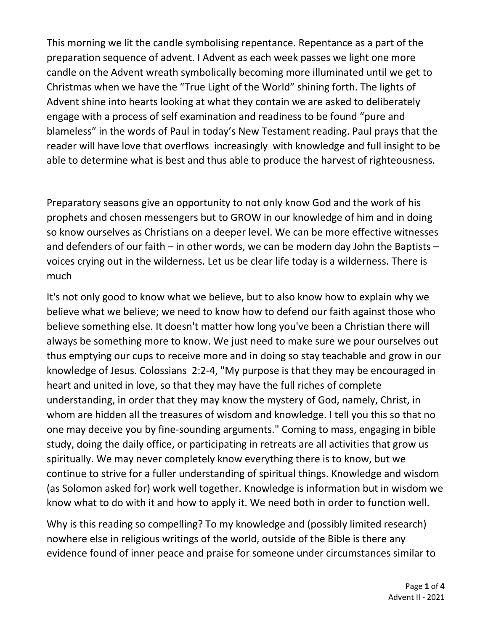This morning we lit the candle symbolising repentance. Repentance as a part of the preparation sequence of advent. I Advent as each week passes we light one more candle on the Advent wreath symbolically becoming more illuminated until we get to Christmas when we have the "True Light of the World" shining forth. The lights of Advent shine into hearts looking at what they contain we are asked to deliberately engage with a process of self examination and readiness to be found "pure and blameless" in the words of Paul in today's New Testament reading. Paul prays that the reader will have love that overflows increasingly with knowledge and full insight to be able to determine what is best and thus able to produce the harvest of righteousness.

Preparatory seasons give an opportunity to not only know God and the work of his prophets and chosen messengers but to GROW in our knowledge of him and in doing so know ourselves as Christians on a deeper level. We can be more effective witnesses and defenders of our faith – in other words, we can be modern day John the Baptists – voices crying out in the wilderness. Let us be clear life today is a wilderness. There is much

It's not only good to know what we believe, but to also know how to explain why we believe what we believe; we need to know how to defend our faith against those who believe something else. It doesn't matter how long you've been a Christian there will always be something more to know. We just need to make sure we pour ourselves out thus emptying our cups to receive more and in doing so stay teachable and grow in our knowledge of Jesus. Colossians 2:2-4, "My purpose is that they may be encouraged in heart and united in love, so that they may have the full riches of complete understanding, in order that they may know the mystery of God, namely, Christ, in whom are hidden all the treasures of wisdom and knowledge. I tell you this so that no one may deceive you by fine-sounding arguments." Coming to mass, engaging in bible study, doing the daily office, or participating in retreats are all activities that grow us spiritually. We may never completely know everything there is to know, but we continue to strive for a fuller understanding of spiritual things. Knowledge and wisdom (as Solomon asked for) work well together. Knowledge is information but in wisdom we know what to do with it and how to apply it. We need both in order to function well.

Why is this reading so compelling? To my knowledge and (possibly limited research) nowhere else in religious writings of the world, outside of the Bible is there any evidence found of inner peace and praise for someone under circumstances similar to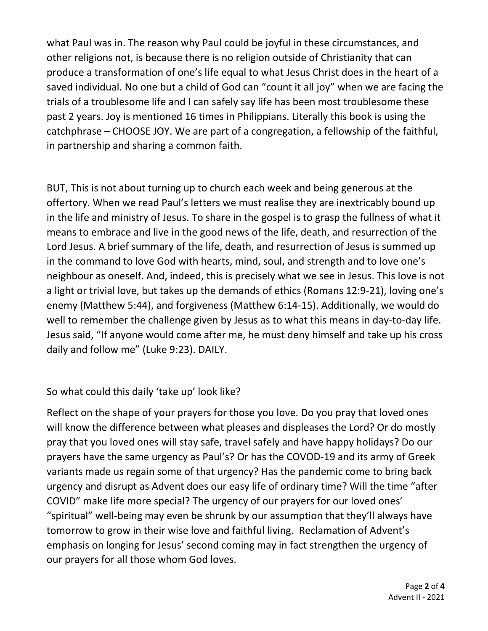what Paul was in. The reason why Paul could be joyful in these circumstances, and other religions not, is because there is no religion outside of Christianity that can produce a transformation of one's life equal to what Jesus Christ does in the heart of a saved individual. No one but a child of God can "count it all joy" when we are facing the trials of a troublesome life and I can safely say life has been most troublesome these past 2 years. Joy is mentioned 16 times in Philippians. Literally this book is using the catchphrase – CHOOSE JOY. We are part of a congregation, a fellowship of the faithful, in partnership and sharing a common faith.

BUT, This is not about turning up to church each week and being generous at the offertory. When we read Paul's letters we must realise they are inextricably bound up in the life and ministry of Jesus. To share in the gospel is to grasp the fullness of what it means to embrace and live in the good news of the life, death, and resurrection of the Lord Jesus. A brief summary of the life, death, and resurrection of Jesus is summed up in the command to love God with hearts, mind, soul, and strength and to love one's neighbour as oneself. And, indeed, this is precisely what we see in Jesus. This love is not a light or trivial love, but takes up the demands of ethics (Romans 12:9-21), loving one's enemy (Matthew 5:44), and forgiveness (Matthew 6:14-15). Additionally, we would do well to remember the challenge given by Jesus as to what this means in day-to-day life. Jesus said, "If anyone would come after me, he must deny himself and take up his cross daily and follow me" (Luke 9:23). DAILY.

## So what could this daily 'take up' look like?

Reflect on the shape of your prayers for those you love. Do you pray that loved ones will know the difference between what pleases and displeases the Lord? Or do mostly pray that you loved ones will stay safe, travel safely and have happy holidays? Do our prayers have the same urgency as Paul's? Or has the COVOD-19 and its army of Greek variants made us regain some of that urgency? Has the pandemic come to bring back urgency and disrupt as Advent does our easy life of ordinary time? Will the time "after COVID" make life more special? The urgency of our prayers for our loved ones' "spiritual" well-being may even be shrunk by our assumption that they'll always have tomorrow to grow in their wise love and faithful living. Reclamation of Advent's emphasis on longing for Jesus' second coming may in fact strengthen the urgency of our prayers for all those whom God loves.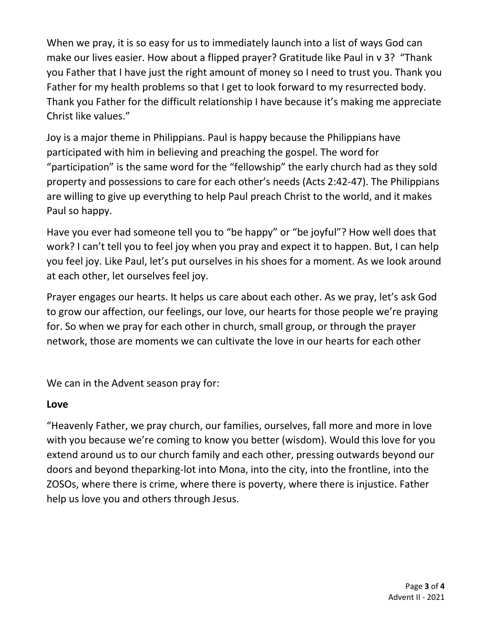When we pray, it is so easy for us to immediately launch into a list of ways God can make our lives easier. How about a flipped prayer? Gratitude like Paul in v 3? "Thank you Father that I have just the right amount of money so I need to trust you. Thank you Father for my health problems so that I get to look forward to my resurrected body. Thank you Father for the difficult relationship I have because it's making me appreciate Christ like values."

Joy is a major theme in Philippians. Paul is happy because the Philippians have participated with him in believing and preaching the gospel. The word for "participation" is the same word for the "fellowship" the early church had as they sold property and possessions to care for each other's needs (Acts 2:42-47). The Philippians are willing to give up everything to help Paul preach Christ to the world, and it makes Paul so happy.

Have you ever had someone tell you to "be happy" or "be joyful"? How well does that work? I can't tell you to feel joy when you pray and expect it to happen. But, I can help you feel joy. Like Paul, let's put ourselves in his shoes for a moment. As we look around at each other, let ourselves feel joy.

Prayer engages our hearts. It helps us care about each other. As we pray, let's ask God to grow our affection, our feelings, our love, our hearts for those people we're praying for. So when we pray for each other in church, small group, or through the prayer network, those are moments we can cultivate the love in our hearts for each other

We can in the Advent season pray for:

## **Love**

"Heavenly Father, we pray church, our families, ourselves, fall more and more in love with you because we're coming to know you better (wisdom). Would this love for you extend around us to our church family and each other, pressing outwards beyond our doors and beyond theparking-lot into Mona, into the city, into the frontline, into the ZOSOs, where there is crime, where there is poverty, where there is injustice. Father help us love you and others through Jesus.